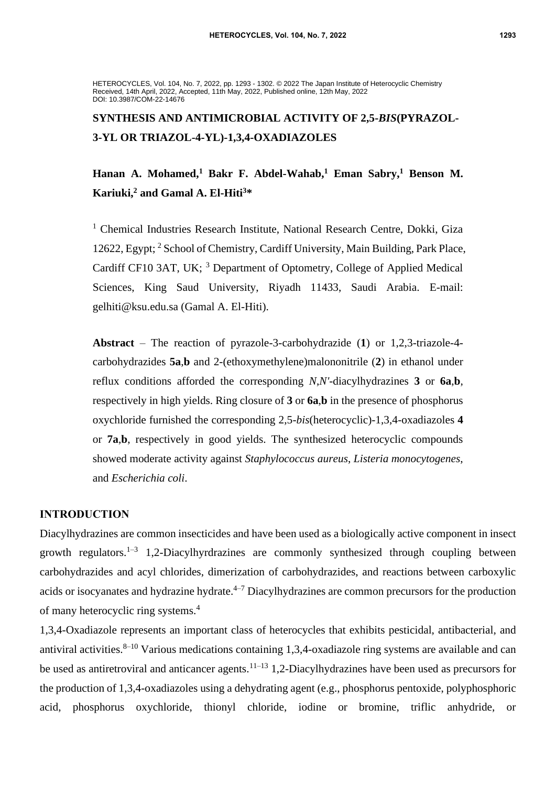HETEROCYCLES, Vol. 104, No. 7, 2022, pp. 1293 - 1302. © 2022 The Japan Institute of Heterocyclic Chemistry Received, 14th April, 2022, Accepted, 11th May, 2022, Published online, 12th May, 2022 DOI: 10.3987/COM-22-14676

# **SYNTHESIS AND ANTIMICROBIAL ACTIVITY OF 2,5-***BIS***(PYRAZOL-3-YL OR TRIAZOL-4-YL)-1,3,4-OXADIAZOLES**

## **Hanan A. Mohamed,<sup>1</sup> Bakr F. Abdel-Wahab,<sup>1</sup> Eman Sabry,<sup>1</sup> Benson M. Kariuki,<sup>2</sup> and Gamal A. El-Hiti<sup>3</sup>\***

<sup>1</sup> Chemical Industries Research Institute, National Research Centre, Dokki, Giza 12622, Egypt; <sup>2</sup> School of Chemistry, Cardiff University, Main Building, Park Place, Cardiff CF10 3AT, UK; <sup>3</sup> Department of Optometry, College of Applied Medical Sciences, King Saud University, Riyadh 11433, Saudi Arabia. E-mail: gelhiti@ksu.edu.sa (Gamal A. El-Hiti).

**Abstract** – The reaction of pyrazole-3-carbohydrazide (**1**) or 1,2,3-triazole-4 carbohydrazides **5a**,**b** and 2-(ethoxymethylene)malononitrile (**2**) in ethanol under reflux conditions afforded the corresponding *N*,*N'*-diacylhydrazines **3** or **6a**,**b**, respectively in high yields. Ring closure of **3** or **6a**,**b** in the presence of phosphorus oxychloride furnished the corresponding 2,5*-bis*(heterocyclic)-1,3,4-oxadiazoles **4** or **7a**,**b**, respectively in good yields. The synthesized heterocyclic compounds showed moderate activity against *Staphylococcus aureus*, *Listeria monocytogenes*, and *Escherichia coli*.

#### **INTRODUCTION**

Diacylhydrazines are common insecticides and have been used as a biologically active component in insect growth regulators.<sup>1-3</sup> 1,2-Diacylhyrdrazines are commonly synthesized through coupling between carbohydrazides and acyl chlorides, dimerization of carbohydrazides, and reactions between carboxylic acids or isocyanates and hydrazine hydrate. $4-7$  Diacylhydrazines are common precursors for the production of many heterocyclic ring systems.<sup>4</sup>

1,3,4-Oxadiazole represents an important class of heterocycles that exhibits pesticidal, antibacterial, and antiviral activities.<sup>8–10</sup> Various medications containing 1,3,4-oxadiazole ring systems are available and can be used as antiretroviral and anticancer agents.<sup>11–13</sup> 1,2-Diacylhydrazines have been used as precursors for the production of 1,3,4-oxadiazoles using a dehydrating agent (e.g., phosphorus pentoxide, polyphosphoric acid, phosphorus oxychloride, thionyl chloride, iodine or bromine, triflic anhydride, or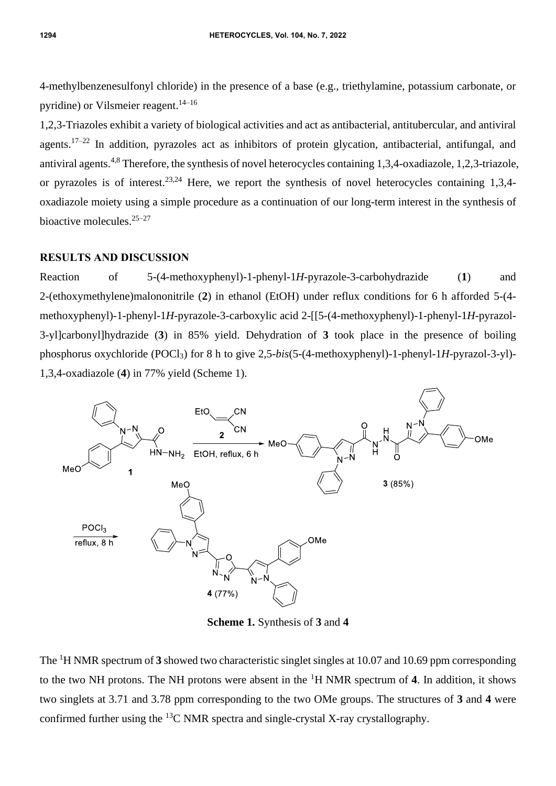4-methylbenzenesulfonyl chloride) in the presence of a base (e.g., triethylamine, potassium carbonate, or pyridine) or Vilsmeier reagent. 14–16

1,2,3-Triazoles exhibit a variety of biological activities and act as antibacterial, antitubercular, and antiviral agents.<sup>17–22</sup> In addition, pyrazoles act as inhibitors of protein glycation, antibacterial, antifungal, and antiviral agents.4,8 Therefore, the synthesis of novel heterocycles containing 1,3,4-oxadiazole, 1,2,3-triazole, or pyrazoles is of interest.<sup>23,24</sup> Here, we report the synthesis of novel heterocycles containing 1,3,4oxadiazole moiety using a simple procedure as a continuation of our long-term interest in the synthesis of bioactive molecules. $25-27$ 

#### **RESULTS AND DISCUSSION**

Reaction of 5-(4-methoxyphenyl)-1-phenyl-1*H*-pyrazole-3-carbohydrazide (**1**) and 2-(ethoxymethylene)malononitrile (**2**) in ethanol (EtOH) under reflux conditions for 6 h afforded 5-(4 methoxyphenyl)-1-phenyl-1*H*-pyrazole-3-carboxylic acid 2-[[5-(4-methoxyphenyl)-1-phenyl-1*H*-pyrazol-3-yl]carbonyl]hydrazide (**3**) in 85% yield. Dehydration of **3** took place in the presence of boiling phosphorus oxychloride (POCl3) for 8 h to give 2,5-*bis*(5-(4-methoxyphenyl)-1-phenyl-1*H*-pyrazol-3-yl)- 1,3,4-oxadiazole (**4**) in 77% yield (Scheme 1).



**Scheme 1.** Synthesis of **3** and **4**

The <sup>1</sup>H NMR spectrum of **3** showed two characteristic singlet singles at 10.07 and 10.69 ppm corresponding to the two NH protons. The NH protons were absent in the <sup>1</sup>H NMR spectrum of **4**. In addition, it shows two singlets at 3.71 and 3.78 ppm corresponding to the two OMe groups. The structures of **3** and **4** were confirmed further using the <sup>13</sup>C NMR spectra and single-crystal X-ray crystallography.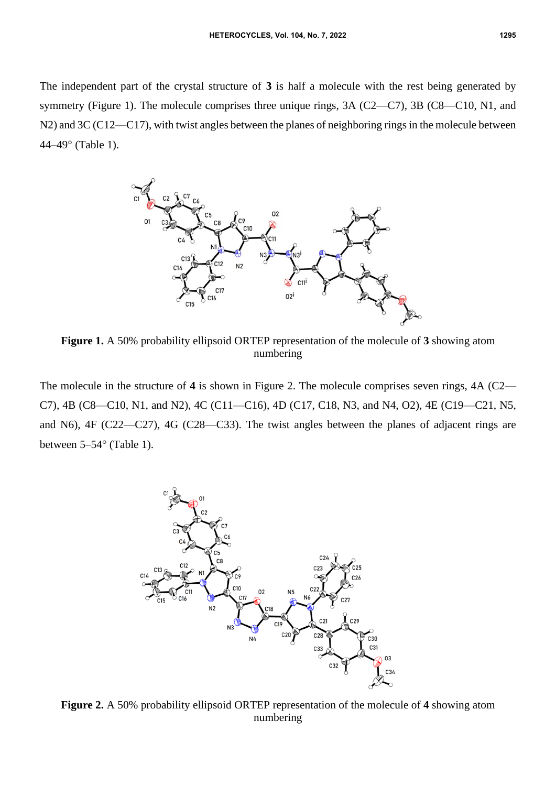The independent part of the crystal structure of **3** is half a molecule with the rest being generated by symmetry (Figure 1). The molecule comprises three unique rings, 3A (C2—C7), 3B (C8—C10, N1, and N2) and 3C (C12—C17), with twist angles between the planes of neighboring rings in the molecule between  $44-49^{\circ}$  (Table 1).



**Figure 1.** A 50% probability ellipsoid ORTEP representation of the molecule of **3** showing atom numbering

The molecule in the structure of **4** is shown in Figure 2. The molecule comprises seven rings, 4A (C2— C7), 4B (C8—C10, N1, and N2), 4C (C11—C16), 4D (C17, C18, N3, and N4, O2), 4E (C19—C21, N5, and N6), 4F (C22—C27), 4G (C28—C33). The twist angles between the planes of adjacent rings are between  $5-54^{\circ}$  (Table 1).



**Figure 2.** A 50% probability ellipsoid ORTEP representation of the molecule of **4** showing atom numbering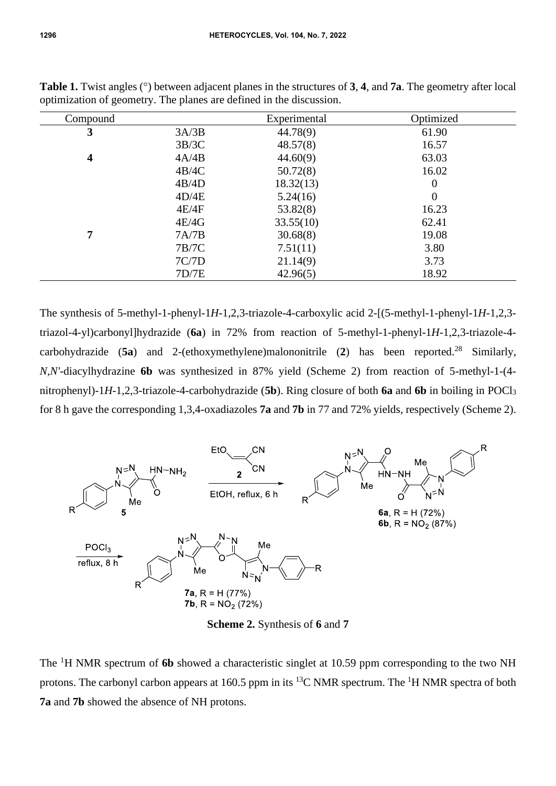| Compound |       | Experimental | Optimized      |
|----------|-------|--------------|----------------|
| 3        | 3A/3B | 44.78(9)     | 61.90          |
|          | 3B/3C | 48.57(8)     | 16.57          |
| 4        | 4A/4B | 44.60(9)     | 63.03          |
|          | 4B/4C | 50.72(8)     | 16.02          |
|          | 4B/4D | 18.32(13)    | $\overline{0}$ |
|          | 4D/4E | 5.24(16)     | $\theta$       |
|          | 4E/4F | 53.82(8)     | 16.23          |
|          | 4E/4G | 33.55(10)    | 62.41          |
| 7        | 7A/7B | 30.68(8)     | 19.08          |
|          | 7B/7C | 7.51(11)     | 3.80           |
|          | 7C/7D | 21.14(9)     | 3.73           |
|          | 7D/7E | 42.96(5)     | 18.92          |

**Table 1.** Twist angles (<sup>o</sup>) between adjacent planes in the structures of **3**, **4**, and **7a**. The geometry after local optimization of geometry. The planes are defined in the discussion.

The synthesis of 5-methyl-1-phenyl-1*H*-1,2,3-triazole-4-carboxylic acid 2-[(5-methyl-1-phenyl-1*H*-1,2,3 triazol-4-yl)carbonyl]hydrazide (**6a**) in 72% from reaction of 5-methyl-1-phenyl-1*H*-1,2,3-triazole-4 carbohydrazide (**5a**) and 2-(ethoxymethylene)malononitrile (**2**) has been reported.<sup>28</sup> Similarly, *N,N'*-diacylhydrazine **6b** was synthesized in 87% yield (Scheme 2) from reaction of 5-methyl-1-(4 nitrophenyl)-1*H*-1,2,3-triazole-4-carbohydrazide (**5b**). Ring closure of both **6a** and **6b** in boiling in POCl<sup>3</sup> for 8 h gave the corresponding 1,3,4-oxadiazoles **7a** and **7b** in 77 and 72% yields, respectively (Scheme 2).



**Scheme 2.** Synthesis of **6** and **7**

The <sup>1</sup>H NMR spectrum of 6b showed a characteristic singlet at 10.59 ppm corresponding to the two NH protons. The carbonyl carbon appears at 160.5 ppm in its <sup>13</sup>C NMR spectrum. The <sup>1</sup>H NMR spectra of both **7a** and **7b** showed the absence of NH protons.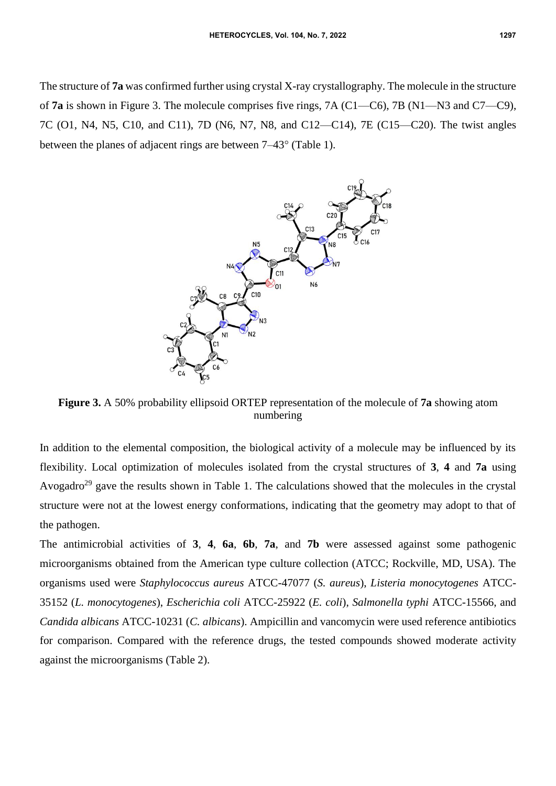The structure of **7a** was confirmed further using crystal X-ray crystallography. The molecule in the structure of **7a** is shown in Figure 3. The molecule comprises five rings, 7A (C1—C6), 7B (N1—N3 and C7—C9), 7C (O1, N4, N5, C10, and C11), 7D (N6, N7, N8, and C12—C14), 7E (C15—C20). The twist angles between the planes of adjacent rings are between  $7-43^{\circ}$  (Table 1).



**Figure 3.** A 50% probability ellipsoid ORTEP representation of the molecule of **7a** showing atom numbering

In addition to the elemental composition, the biological activity of a molecule may be influenced by its flexibility. Local optimization of molecules isolated from the crystal structures of **3**, **4** and **7a** using Avogadro<sup>29</sup> gave the results shown in Table 1. The calculations showed that the molecules in the crystal structure were not at the lowest energy conformations, indicating that the geometry may adopt to that of the pathogen.

The antimicrobial activities of **3**, **4**, **6a**, **6b**, **7a**, and **7b** were assessed against some pathogenic microorganisms obtained from the American type culture collection (ATCC; Rockville, MD, USA). The organisms used were *Staphylococcus aureus* ATCC-47077 (*S. aureus*), *Listeria monocytogenes* ATCC-35152 (*L. monocytogenes*), *Escherichia coli* ATCC-25922 (*E. coli*), *Salmonella typhi* ATCC-15566, and *Candida albicans* ATCC-10231 (*C. albicans*). Ampicillin and vancomycin were used reference antibiotics for comparison. Compared with the reference drugs, the tested compounds showed moderate activity against the microorganisms (Table 2).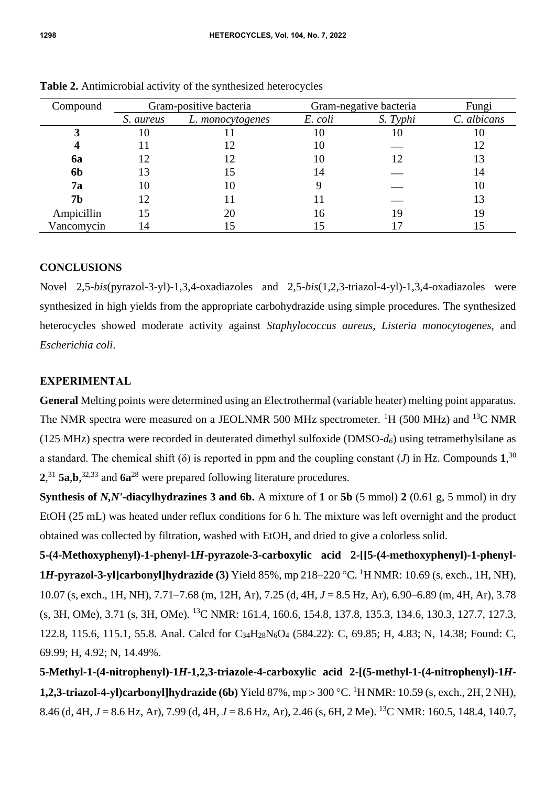| Compound   | Gram-positive bacteria |                  | Gram-negative bacteria |          | Fungi       |
|------------|------------------------|------------------|------------------------|----------|-------------|
|            | S. aureus              | L. monocytogenes | E. coli                | S. Typhi | C. albicans |
|            | IО                     |                  | 10                     | 10       | 10          |
|            |                        |                  | 10                     |          | 12          |
| 6a         | 12                     |                  | 10                     | 12       |             |
| 6b         | 13                     | 15               | 14                     |          | 14          |
| <b>7a</b>  | 10                     | 10               |                        |          | 10          |
| 7b         | 12                     |                  |                        |          | 13          |
| Ampicillin | 15                     | 20               | 16                     | 19       | 19          |
| Vancomycin | 14                     |                  |                        |          |             |

**Table 2.** Antimicrobial activity of the synthesized heterocycles

## **CONCLUSIONS**

Novel 2,5-*bis*(pyrazol-3-yl)-1,3,4-oxadiazoles and 2,5-*bis*(1,2,3-triazol-4-yl)-1,3,4-oxadiazoles were synthesized in high yields from the appropriate carbohydrazide using simple procedures. The synthesized heterocycles showed moderate activity against *Staphylococcus aureus*, *Listeria monocytogenes*, and *Escherichia coli*.

## **EXPERIMENTAL**

**General** Melting points were determined using an Electrothermal (variable heater) melting point apparatus. The NMR spectra were measured on a JEOLNMR 500 MHz spectrometer. <sup>1</sup>H (500 MHz) and <sup>13</sup>C NMR (125 MHz) spectra were recorded in deuterated dimethyl sulfoxide (DMSO- $d_6$ ) using tetramethylsilane as a standard. The chemical shift (δ) is reported in ppm and the coupling constant (*J*) in Hz. Compounds **1**, 30 **2**, <sup>31</sup> **5a**,**b**, 32,33 and **6a**<sup>28</sup> were prepared following literature procedures.

**Synthesis of** *N,N'***-diacylhydrazines 3 and 6b.** A mixture of **1** or **5b** (5 mmol) **2** (0.61 g, 5 mmol) in dry EtOH (25 mL) was heated under reflux conditions for 6 h. The mixture was left overnight and the product obtained was collected by filtration, washed with EtOH, and dried to give a colorless solid.

**5-(4-Methoxyphenyl)-1-phenyl-1***H***-pyrazole-3-carboxylic acid 2-[[5-(4-methoxyphenyl)-1-phenyl-1***H***-pyrazol-3-yl]carbonyl]hydrazide (3)** Yield 85%, mp 218–220 C. <sup>1</sup>H NMR: 10.69 (s, exch., 1H, NH), 10.07 (s, exch., 1H, NH), 7.71–7.68 (m, 12H, Ar), 7.25 (d, 4H, *J* = 8.5 Hz, Ar), 6.90–6.89 (m, 4H, Ar), 3.78 (s, 3H, OMe), 3.71 (s, 3H, OMe). <sup>13</sup>C NMR: 161.4, 160.6, 154.8, 137.8, 135.3, 134.6, 130.3, 127.7, 127.3, 122.8, 115.6, 115.1, 55.8. Anal. Calcd for C34H28N6O<sup>4</sup> (584.22): C, 69.85; H, 4.83; N, 14.38; Found: C, 69.99; H, 4.92; N, 14.49%.

**5-Methyl-1-(4-nitrophenyl)-1***H***-1,2,3-triazole-4-carboxylic acid 2-[(5-methyl-1-(4-nitrophenyl)-1***H***-1,2,3-triazol-4-yl)carbonyl]hydrazide (6b)** Yield 87%, mp > 300 °C. <sup>1</sup>H NMR: 10.59 (s, exch., 2H, 2 NH), 8.46 (d, 4H, *J* = 8.6 Hz, Ar), 7.99 (d, 4H, *J* = 8.6 Hz, Ar), 2.46 (s, 6H, 2 Me). <sup>13</sup>C NMR: 160.5, 148.4, 140.7,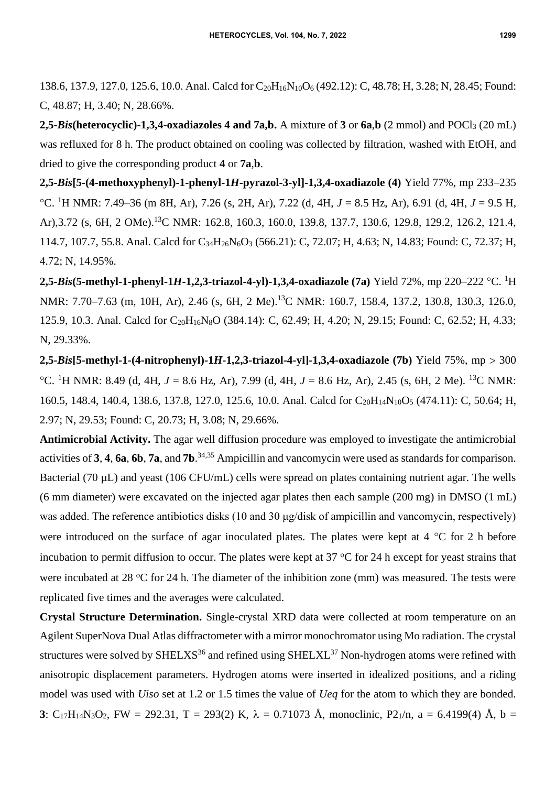138.6, 137.9, 127.0, 125.6, 10.0. Anal. Calcd for C<sub>20</sub>H<sub>16</sub>N<sub>10</sub>O<sub>6</sub> (492.12): C, 48.78; H, 3.28; N, 28.45; Found: C, 48.87; H, 3.40; N, 28.66%.

**2,5-***Bis***(heterocyclic)-1,3,4-oxadiazoles 4 and 7a,b.** A mixture of **3** or **6a**,**b** (2 mmol) and POCl<sup>3</sup> (20 mL) was refluxed for 8 h. The product obtained on cooling was collected by filtration, washed with EtOH, and dried to give the corresponding product **4** or **7a**,**b**.

**2,5-***Bis***[5-(4-methoxyphenyl)-1-phenyl-1***H***-pyrazol-3-yl]-1,3,4-oxadiazole (4)** Yield 77%, mp 233–235 C. <sup>1</sup>H NMR: 7.49–36 (m 8H, Ar), 7.26 (s, 2H, Ar), 7.22 (d, 4H, *J* = 8.5 Hz, Ar), 6.91 (d, 4H, *J* = 9.5 H, Ar),3.72 (s, 6H, 2 OMe).<sup>13</sup>C NMR: 162.8, 160.3, 160.0, 139.8, 137.7, 130.6, 129.8, 129.2, 126.2, 121.4, 114.7, 107.7, 55.8. Anal. Calcd for C<sub>34</sub>H<sub>26</sub>N<sub>6</sub>O<sub>3</sub> (566.21): C, 72.07; H, 4.63; N, 14.83; Found: C, 72.37; H, 4.72; N, 14.95%.

**2,5-***Bis***(5-methyl-1-phenyl-1***H***-1,2,3-triazol-4-yl)-1,3,4-oxadiazole (7a) Yield 72%, mp 220–222 °C. <sup>1</sup>H** NMR: 7.70–7.63 (m, 10H, Ar), 2.46 (s, 6H, 2 Me).<sup>13</sup>C NMR: 160.7, 158.4, 137.2, 130.8, 130.3, 126.0, 125.9, 10.3. Anal. Calcd for C<sub>20</sub>H<sub>16</sub>N<sub>8</sub>O (384.14): C, 62.49; H, 4.20; N, 29.15; Found: C, 62.52; H, 4.33; N, 29.33%.

**2,5-***Bis***[5-methyl-1-(4-nitrophenyl)-1***H***-1,2,3-triazol-4-yl]-1,3,4-oxadiazole (7b)** Yield 75%, mp 300 °C. <sup>1</sup>H NMR: 8.49 (d, 4H, *J* = 8.6 Hz, Ar), 7.99 (d, 4H, *J* = 8.6 Hz, Ar), 2.45 (s, 6H, 2 Me). <sup>13</sup>C NMR: 160.5, 148.4, 140.4, 138.6, 137.8, 127.0, 125.6, 10.0. Anal. Calcd for C<sub>20</sub>H<sub>14</sub>N<sub>10</sub>O<sub>5</sub> (474.11): C, 50.64; H, 2.97; N, 29.53; Found: C, 20.73; H, 3.08; N, 29.66%.

**Antimicrobial Activity.** The agar well diffusion procedure was employed to investigate the antimicrobial activities of **3**, **4**, **6a**, **6b**, **7a**, and **7b**. 34,35 Ampicillin and vancomycin were used as standards for comparison. Bacterial (70 µL) and yeast (106 CFU/mL) cells were spread on plates containing nutrient agar. The wells (6 mm diameter) were excavated on the injected agar plates then each sample (200 mg) in DMSO (1 mL) was added. The reference antibiotics disks (10 and 30 μg/disk of ampicillin and vancomycin, respectively) were introduced on the surface of agar inoculated plates. The plates were kept at  $4 \degree C$  for 2 h before incubation to permit diffusion to occur. The plates were kept at  $37 \text{ °C}$  for 24 h except for yeast strains that were incubated at 28  $\degree$ C for 24 h. The diameter of the inhibition zone (mm) was measured. The tests were replicated five times and the averages were calculated.

**Crystal Structure Determination.** Single-crystal XRD data were collected at room temperature on an Agilent SuperNova Dual Atlas diffractometer with a mirror monochromator using Mo radiation. The crystal structures were solved by  $SHELXS^{36}$  and refined using  $SHELXL^{37}$  Non-hydrogen atoms were refined with anisotropic displacement parameters. Hydrogen atoms were inserted in idealized positions, and a riding model was used with *Uiso* set at 1.2 or 1.5 times the value of *Ueq* for the atom to which they are bonded. **3**: C<sub>17</sub>H<sub>14</sub>N<sub>3</sub>O<sub>2</sub>, FW = 292.31, T = 293(2) K,  $\lambda$  = 0.71073 Å, monoclinic, P<sub>21</sub>/n, a = 6.4199(4) Å, b =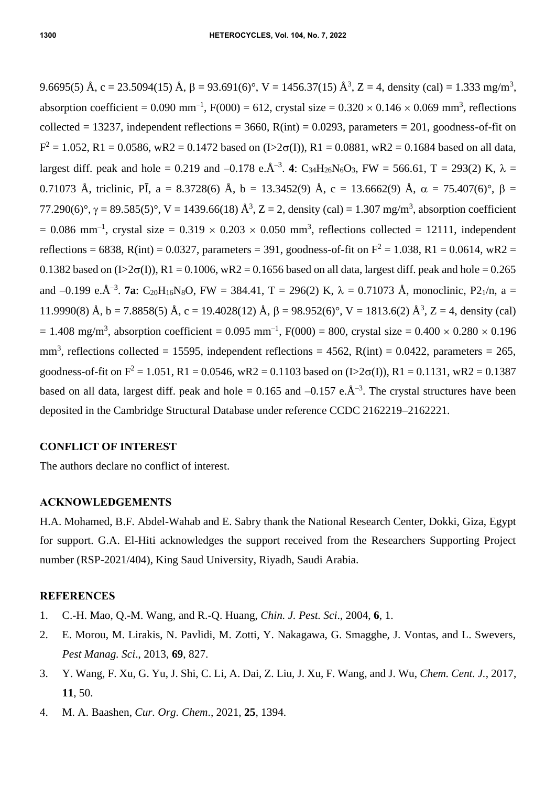9.6695(5) Å, c = 23.5094(15) Å,  $\beta$  = 93.691(6)°, V = 1456.37(15) Å<sup>3</sup>, Z = 4, density (cal) = 1.333 mg/m<sup>3</sup>, absorption coefficient =  $0.090 \text{ mm}^{-1}$ , F(000) = 612, crystal size =  $0.320 \times 0.146 \times 0.069 \text{ mm}^3$ , reflections collected = 13237, independent reflections = 3660,  $R(int) = 0.0293$ , parameters = 201, goodness-of-fit on  $F^2 = 1.052$ , R1 = 0.0586, wR2 = 0.1472 based on (I>2 $\sigma$ (I)), R1 = 0.0881, wR2 = 0.1684 based on all data, largest diff. peak and hole = 0.219 and -0.178 e. $\AA^{-3}$ . 4: C<sub>34</sub>H<sub>26</sub>N<sub>6</sub>O<sub>3</sub>, FW = 566.61, T = 293(2) K,  $\lambda$  = 0.71073 Å, triclinic, PĪ, a = 8.3728(6) Å, b = 13.3452(9) Å, c = 13.6662(9) Å,  $\alpha$  = 75.407(6)°,  $\beta$  = 77.290(6)°,  $\gamma = 89.585(5)$ °, V = 1439.66(18)  $\AA^3$ , Z = 2, density (cal) = 1.307 mg/m<sup>3</sup>, absorption coefficient  $= 0.086$  mm<sup>-1</sup>, crystal size  $= 0.319 \times 0.203 \times 0.050$  mm<sup>3</sup>, reflections collected  $= 12111$ , independent reflections = 6838, R(int) = 0.0327, parameters = 391, goodness-of-fit on  $F^2 = 1.038$ , R1 = 0.0614, wR2 = 0.1382 based on  $(I>2\sigma(I))$ , R1 = 0.1006, wR2 = 0.1656 based on all data, largest diff. peak and hole = 0.265 and  $-0.199$  e. $\AA^{-3}$ . **7a**: C<sub>20</sub>H<sub>16</sub>N<sub>8</sub>O, FW = 384.41, T = 296(2) K,  $\lambda$  = 0.71073 Å, monoclinic, P<sub>21</sub>/n, a = 11.9990(8) Å, b = 7.8858(5) Å, c = 19.4028(12) Å,  $\beta$  = 98.952(6)°, V = 1813.6(2) Å<sup>3</sup>, Z = 4, density (cal)  $= 1.408$  mg/m<sup>3</sup>, absorption coefficient  $= 0.095$  mm<sup>-1</sup>, F(000)  $= 800$ , crystal size  $= 0.400 \times 0.280 \times 0.196$  $mm<sup>3</sup>$ , reflections collected = 15595, independent reflections = 4562, R(int) = 0.0422, parameters = 265, goodness-of-fit on  $F^2 = 1.051$ , R1 = 0.0546, wR2 = 0.1103 based on (I>2 $\sigma(I)$ ), R1 = 0.1131, wR2 = 0.1387 based on all data, largest diff. peak and hole =  $0.165$  and  $-0.157$  e. $\AA^{-3}$ . The crystal structures have been deposited in the Cambridge Structural Database under reference CCDC 2162219–2162221.

## **CONFLICT OF INTEREST**

The authors declare no conflict of interest.

#### **ACKNOWLEDGEMENTS**

H.A. Mohamed, B.F. Abdel-Wahab and E. Sabry thank the National Research Center, Dokki, Giza, Egypt for support. G.A. El-Hiti acknowledges the support received from the Researchers Supporting Project number (RSP-2021/404), King Saud University, Riyadh, Saudi Arabia.

### **REFERENCES**

- 1. C.-H. Mao, Q.-M. Wang, and R.-Q. Huang, *Chin. J. Pest. Sci*., 2004, **6**, 1.
- 2. E. Morou, M. Lirakis, N. Pavlidi, M. Zotti, Y. Nakagawa, G. Smagghe, J. Vontas, and L. Swevers, *Pest Manag. Sci*., 2013, **69**, 827.
- 3. Y. Wang, F. Xu, G. Yu, J. Shi, C. Li, A. Dai, Z. Liu, J. Xu, F. Wang, and J. Wu, *Chem. Cent. J.*, 2017, **11**, 50.
- 4. M. A. Baashen, *Cur. Org. Chem*., 2021, **25**, 1394.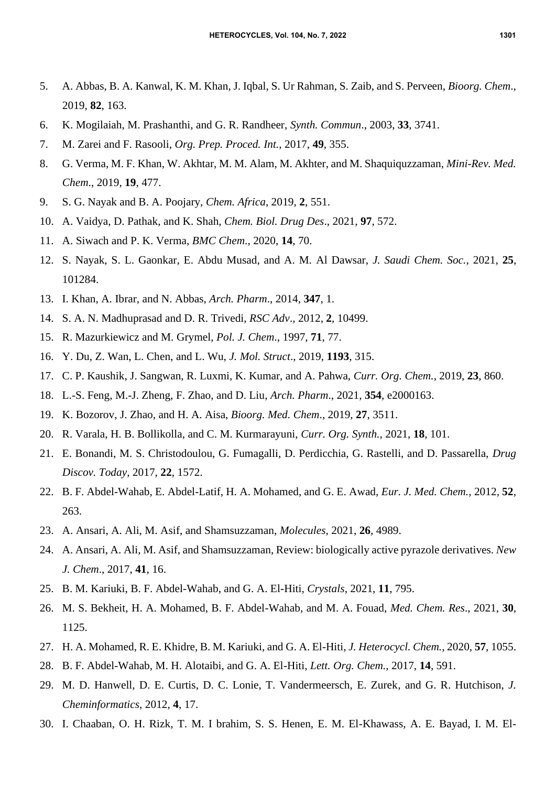- 5. A. Abbas, B. A. Kanwal, K. M. Khan, J. Iqbal, S. Ur Rahman, S. Zaib, and S. Perveen, *Bioorg. Chem*., 2019, **82**, 163.
- 6. K. Mogilaiah, M. Prashanthi, and G. R. Randheer, *Synth. Commun*., 2003, **33**, 3741.
- 7. M. Zarei and F. Rasooli, *Org. Prep. Proced. Int.*, 2017, **49**, 355.
- 8. G. Verma, M. F. Khan, W. Akhtar, M. M. Alam, M. Akhter, and M. Shaquiquzzaman, *Mini-Rev. Med. Chem*., 2019, **19**, 477.
- 9. S. G. Nayak and B. A. Poojary, *Chem. Africa*, 2019, **2**, 551.
- 10. A. Vaidya, D. Pathak, and K. Shah, *Chem. Biol. Drug Des*., 2021, **97**, 572.
- 11. A. Siwach and P. K. Verma, *BMC Chem*., 2020, **14**, 70.
- 12. S. Nayak, S. L. Gaonkar, E. Abdu Musad, and A. M*.* Al Dawsar, *J. Saudi Chem. Soc.*, 2021, **25**, 101284.
- 13. I. Khan, A. Ibrar, and N. Abbas, *Arch. Pharm*., 2014, **347**, 1.
- 14. S. A. N. Madhuprasad and D. R. Trivedi, *RSC Adv*., 2012, **2**, 10499.
- 15. R. Mazurkiewicz and M. Grymel, *Pol. J. Chem*., 1997, **71**, 77.
- 16. Y. Du, Z. Wan, L. Chen, and L. Wu, *J. Mol. Struct*., 2019, **1193**, 315.
- 17. C. P. Kaushik, J. Sangwan, R. Luxmi, K. Kumar, and A. Pahwa, *Curr. Org. Chem.*, 2019, **23**, 860.
- 18. L.-S. Feng, M.-J. Zheng, F. Zhao, and D. Liu, *Arch. Pharm*., 2021, **354**, e2000163.
- 19. K. Bozorov, J. Zhao, and H. A. Aisa, *Bioorg. Med. Chem*., 2019, **27**, 3511.
- 20. R. Varala, H. B. Bollikolla, and C. M. Kurmarayuni, *Curr. Org. Synth.*, 2021, **18**, 101.
- 21. E. Bonandi, M. S. Christodoulou, G. Fumagalli, D. Perdicchia, G. Rastelli, and D. Passarella, *Drug Discov. Today*, 2017, **22**, 1572.
- 22. B. F. Abdel-Wahab, E. Abdel-Latif, H. A. Mohamed, and G. E. Awad, *Eur. J. Med. Chem.*, 2012, **52**, 263.
- 23. A. Ansari, A. Ali, M. Asif, and Shamsuzzaman, *Molecules*, 2021, **26**, 4989.
- 24. A. Ansari, A. Ali, M. Asif, and Shamsuzzaman, Review: biologically active pyrazole derivatives. *New J. Chem*., 2017, **41**, 16.
- 25. B. M. Kariuki, B. F. Abdel-Wahab, and G. A. El-Hiti, *Crystals*, 2021, **11**, 795.
- 26. M. S. Bekheit, H. A. Mohamed, B. F. Abdel-Wahab, and M. A. Fouad, *Med. Chem. Res*., 2021, **30**, 1125.
- 27. H. A. Mohamed, R. E. Khidre, B. M. Kariuki, and G. A. El-Hiti, *J. Heterocycl. Chem.*, 2020, **57**, 1055.
- 28. B. F. Abdel-Wahab, M. H. Alotaibi, and G. A. El-Hiti, *Lett. Org. Chem.*, 2017, **14**, 591.
- 29. M. D. Hanwell, D. E. Curtis, D. C. Lonie, T. Vandermeersch, E. Zurek, and G. R. Hutchison, *J. Cheminformatics*, 2012, **4**, 17.
- 30. I. Chaaban, O. H. Rizk, T. M. I brahim, S. S. Henen, E. M. El-Khawass, A. E. Bayad, I. M. El-